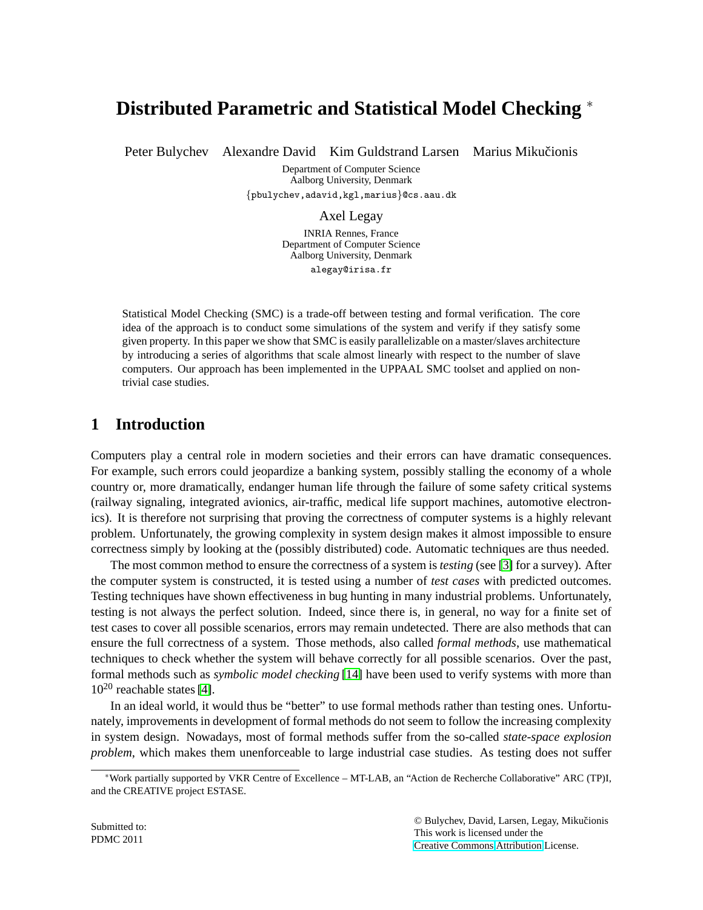# **Distributed Parametric and Statistical Model Checking** <sup>∗</sup>

Peter Bulychev Alexandre David Kim Guldstrand Larsen Marius Mikučionis

Department of Computer Science Aalborg University, Denmark {pbulychev,adavid,kgl,marius}@cs.aau.dk

Axel Legay

INRIA Rennes, France Department of Computer Science Aalborg University, Denmark alegay@irisa.fr

Statistical Model Checking (SMC) is a trade-off between testing and formal verification. The core idea of the approach is to conduct some simulations of the system and verify if they satisfy some given property. In this paper we show that SMC is easily parallelizable on a master/slaves architecture by introducing a series of algorithms that scale almost linearly with respect to the number of slave computers. Our approach has been implemented in the UPPAAL SMC toolset and applied on nontrivial case studies.

# **1 Introduction**

Computers play a central role in modern societies and their errors can have dramatic consequences. For example, such errors could jeopardize a banking system, possibly stalling the economy of a whole country or, more dramatically, endanger human life through the failure of some safety critical systems (railway signaling, integrated avionics, air-traffic, medical life support machines, automotive electronics). It is therefore not surprising that proving the correctness of computer systems is a highly relevant problem. Unfortunately, the growing complexity in system design makes it almost impossible to ensure correctness simply by looking at the (possibly distributed) code. Automatic techniques are thus needed.

The most common method to ensure the correctness of a system is *testing* (see [\[3\]](#page-10-0) for a survey). After the computer system is constructed, it is tested using a number of *test cases* with predicted outcomes. Testing techniques have shown effectiveness in bug hunting in many industrial problems. Unfortunately, testing is not always the perfect solution. Indeed, since there is, in general, no way for a finite set of test cases to cover all possible scenarios, errors may remain undetected. There are also methods that can ensure the full correctness of a system. Those methods, also called *formal methods*, use mathematical techniques to check whether the system will behave correctly for all possible scenarios. Over the past, formal methods such as *symbolic model checking* [\[14\]](#page-11-0) have been used to verify systems with more than  $10^{20}$  reachable states [\[4\]](#page-11-1).

In an ideal world, it would thus be "better" to use formal methods rather than testing ones. Unfortunately, improvements in development of formal methods do not seem to follow the increasing complexity in system design. Nowadays, most of formal methods suffer from the so-called *state-space explosion problem*, which makes them unenforceable to large industrial case studies. As testing does not suffer

© Bulychev, David, Larsen, Legay, Mikucionis ˇ This work is licensed under the [Creative Commons](http://creativecommons.org) [Attribution](http://creativecommons.org/licenses/by/3.0/) License.

<sup>∗</sup>Work partially supported by VKR Centre of Excellence – MT-LAB, an "Action de Recherche Collaborative" ARC (TP)I, and the CREATIVE project ESTASE.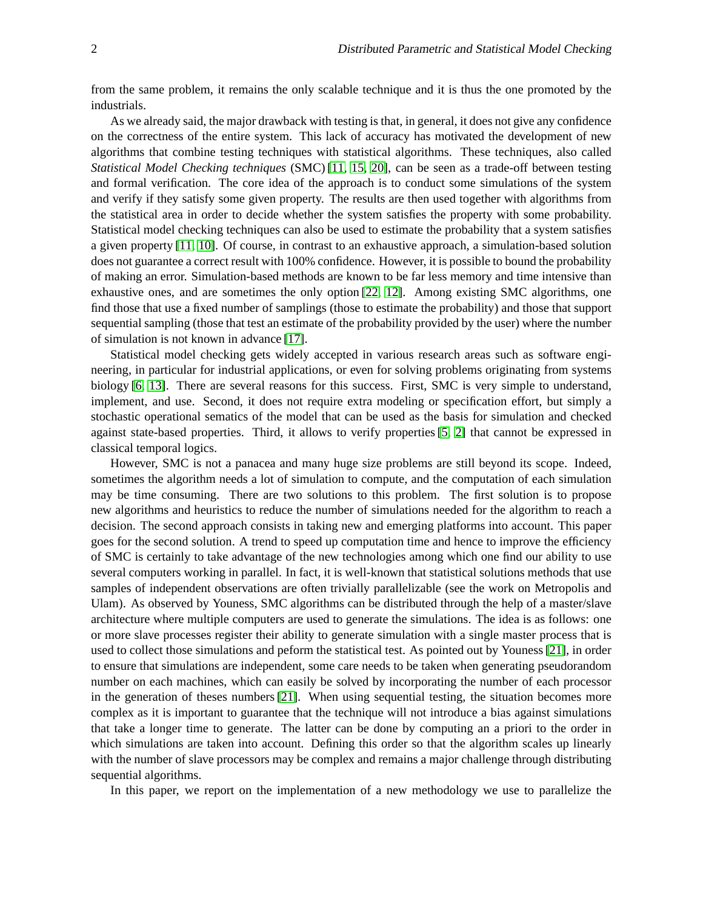from the same problem, it remains the only scalable technique and it is thus the one promoted by the industrials.

As we already said, the major drawback with testing is that, in general, it does not give any confidence on the correctness of the entire system. This lack of accuracy has motivated the development of new algorithms that combine testing techniques with statistical algorithms. These techniques, also called *Statistical Model Checking techniques* (SMC) [\[11,](#page-11-2) [15,](#page-11-3) [20\]](#page-12-0), can be seen as a trade-off between testing and formal verification. The core idea of the approach is to conduct some simulations of the system and verify if they satisfy some given property. The results are then used together with algorithms from the statistical area in order to decide whether the system satisfies the property with some probability. Statistical model checking techniques can also be used to estimate the probability that a system satisfies a given property [\[11,](#page-11-2) [10\]](#page-11-4). Of course, in contrast to an exhaustive approach, a simulation-based solution does not guarantee a correct result with 100% confidence. However, it is possible to bound the probability of making an error. Simulation-based methods are known to be far less memory and time intensive than exhaustive ones, and are sometimes the only option [\[22,](#page-12-1) [12\]](#page-11-5). Among existing SMC algorithms, one find those that use a fixed number of samplings (those to estimate the probability) and those that support sequential sampling (those that test an estimate of the probability provided by the user) where the number of simulation is not known in advance [\[17\]](#page-11-6).

Statistical model checking gets widely accepted in various research areas such as software engineering, in particular for industrial applications, or even for solving problems originating from systems biology [\[6,](#page-11-7) [13\]](#page-11-8). There are several reasons for this success. First, SMC is very simple to understand, implement, and use. Second, it does not require extra modeling or specification effort, but simply a stochastic operational sematics of the model that can be used as the basis for simulation and checked against state-based properties. Third, it allows to verify properties [\[5,](#page-11-9) [2\]](#page-10-1) that cannot be expressed in classical temporal logics.

However, SMC is not a panacea and many huge size problems are still beyond its scope. Indeed, sometimes the algorithm needs a lot of simulation to compute, and the computation of each simulation may be time consuming. There are two solutions to this problem. The first solution is to propose new algorithms and heuristics to reduce the number of simulations needed for the algorithm to reach a decision. The second approach consists in taking new and emerging platforms into account. This paper goes for the second solution. A trend to speed up computation time and hence to improve the efficiency of SMC is certainly to take advantage of the new technologies among which one find our ability to use several computers working in parallel. In fact, it is well-known that statistical solutions methods that use samples of independent observations are often trivially parallelizable (see the work on Metropolis and Ulam). As observed by Youness, SMC algorithms can be distributed through the help of a master/slave architecture where multiple computers are used to generate the simulations. The idea is as follows: one or more slave processes register their ability to generate simulation with a single master process that is used to collect those simulations and peform the statistical test. As pointed out by Youness [\[21\]](#page-12-2), in order to ensure that simulations are independent, some care needs to be taken when generating pseudorandom number on each machines, which can easily be solved by incorporating the number of each processor in the generation of theses numbers [\[21\]](#page-12-2). When using sequential testing, the situation becomes more complex as it is important to guarantee that the technique will not introduce a bias against simulations that take a longer time to generate. The latter can be done by computing an a priori to the order in which simulations are taken into account. Defining this order so that the algorithm scales up linearly with the number of slave processors may be complex and remains a major challenge through distributing sequential algorithms.

In this paper, we report on the implementation of a new methodology we use to parallelize the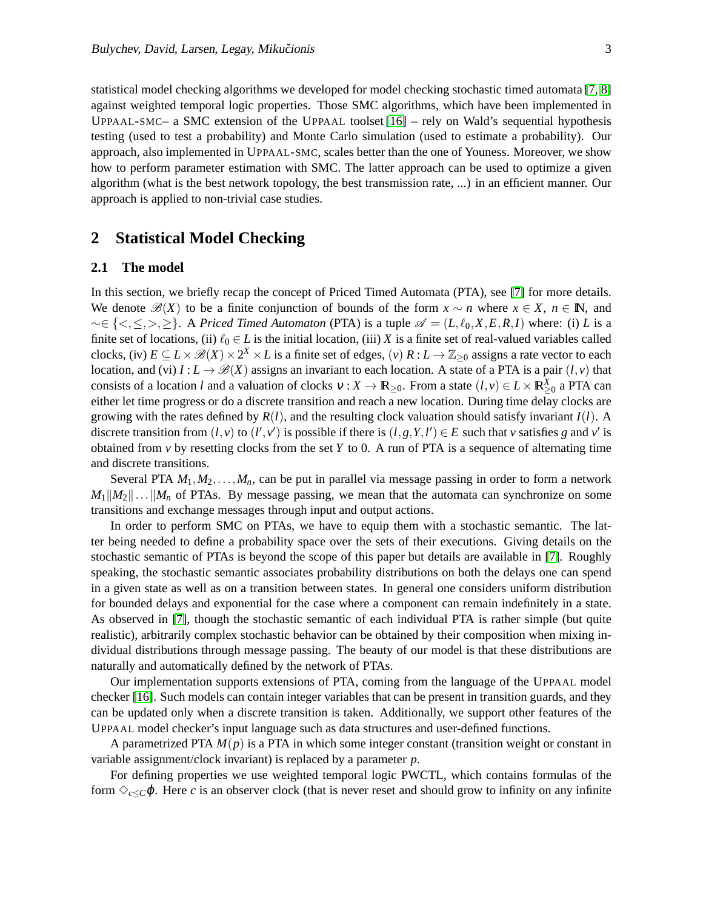statistical model checking algorithms we developed for model checking stochastic timed automata [\[7,](#page-11-10) [8\]](#page-11-11) against weighted temporal logic properties. Those SMC algorithms, which have been implemented in UPPAAL-SMC– a SMC extension of the UPPAAL toolset  $[16]$  – rely on Wald's sequential hypothesis testing (used to test a probability) and Monte Carlo simulation (used to estimate a probability). Our approach, also implemented in UPPAAL-SMC, scales better than the one of Youness. Moreover, we show how to perform parameter estimation with SMC. The latter approach can be used to optimize a given algorithm (what is the best network topology, the best transmission rate, ...) in an efficient manner. Our approach is applied to non-trivial case studies.

## **2 Statistical Model Checking**

### **2.1 The model**

In this section, we briefly recap the concept of Priced Timed Automata (PTA), see [\[7\]](#page-11-10) for more details. We denote  $\mathscr{B}(X)$  to be a finite conjunction of bounds of the form  $x \sim n$  where  $x \in X$ ,  $n \in \mathbb{N}$ , and  $~ \sim \in \{<,\leq,>,\geq\}$ . A *Priced Timed Automaton* (PTA) is a tuple  $\mathscr{A} = (L, \ell_0, X, E, R, I)$  where: (i) L is a finite set of locations, (ii)  $\ell_0 \in L$  is the initial location, (iii) *X* is a finite set of real-valued variables called clocks, (iv)  $E \subseteq L \times \mathcal{B}(X) \times 2^X \times L$  is a finite set of edges, (*v*)  $R: L \to \mathbb{Z}_{\geq 0}$  assigns a rate vector to each location, and (vi)  $I: L \to \mathcal{B}(X)$  assigns an invariant to each location. A state of a PTA is a pair  $(l, v)$  that consists of a location *l* and a valuation of clocks  $v: X \to \mathbb{R}_{\geq 0}$ . From a state  $(l, v) \in L \times \mathbb{R}_{\geq 0}^X$  a PTA can either let time progress or do a discrete transition and reach a new location. During time delay clocks are growing with the rates defined by  $R(l)$ , and the resulting clock valuation should satisfy invariant  $I(l)$ . A discrete transition from  $(l, v)$  to  $(l', v')$  is possible if there is  $(l, g, Y, l') \in E$  such that *v* satisfies *g* and *v'* is obtained from *v* by resetting clocks from the set *Y* to 0. A run of PTA is a sequence of alternating time and discrete transitions.

Several PTA  $M_1, M_2, \ldots, M_n$ , can be put in parallel via message passing in order to form a network  $M_1||M_2||...||M_n$  of PTAs. By message passing, we mean that the automata can synchronize on some transitions and exchange messages through input and output actions.

In order to perform SMC on PTAs, we have to equip them with a stochastic semantic. The latter being needed to define a probability space over the sets of their executions. Giving details on the stochastic semantic of PTAs is beyond the scope of this paper but details are available in [\[7\]](#page-11-10). Roughly speaking, the stochastic semantic associates probability distributions on both the delays one can spend in a given state as well as on a transition between states. In general one considers uniform distribution for bounded delays and exponential for the case where a component can remain indefinitely in a state. As observed in [\[7\]](#page-11-10), though the stochastic semantic of each individual PTA is rather simple (but quite realistic), arbitrarily complex stochastic behavior can be obtained by their composition when mixing individual distributions through message passing. The beauty of our model is that these distributions are naturally and automatically defined by the network of PTAs.

Our implementation supports extensions of PTA, coming from the language of the UPPAAL model checker [\[16\]](#page-11-12). Such models can contain integer variables that can be present in transition guards, and they can be updated only when a discrete transition is taken. Additionally, we support other features of the UPPAAL model checker's input language such as data structures and user-defined functions.

A parametrized PTA *M*(*p*) is a PTA in which some integer constant (transition weight or constant in variable assignment/clock invariant) is replaced by a parameter *p*.

For defining properties we use weighted temporal logic PWCTL, which contains formulas of the form  $\Diamond_{c\leq C}\phi$ . Here *c* is an observer clock (that is never reset and should grow to infinity on any infinite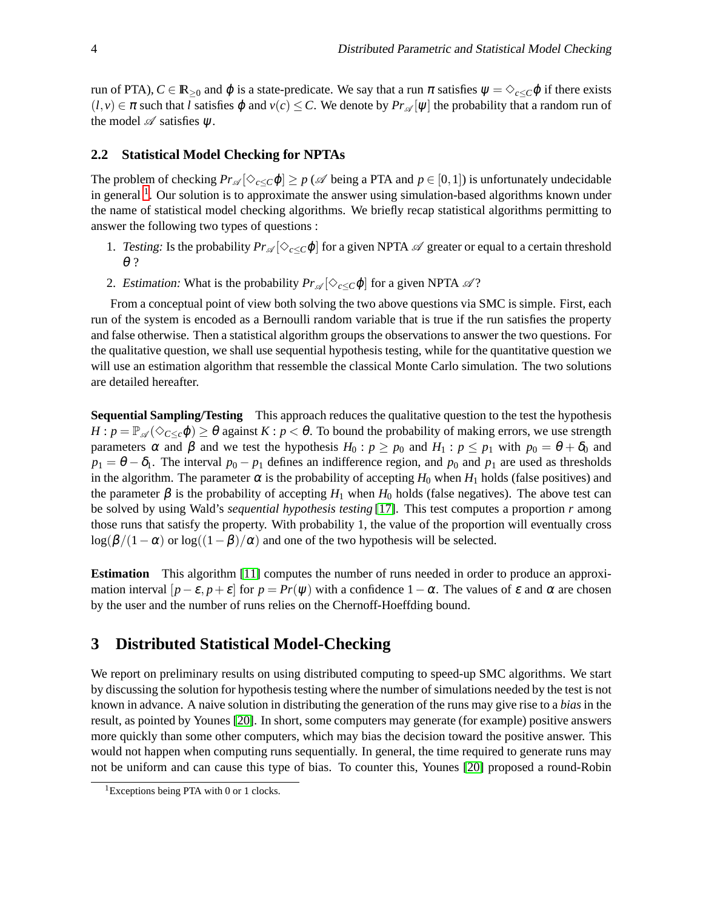run of PTA),  $C \in \mathbb{R}_{\geq 0}$  and  $\varphi$  is a state-predicate. We say that a run  $\pi$  satisfies  $\psi = \Diamond_{c \leq C} \varphi$  if there exists  $(l, v) \in \pi$  such that *l* satisfies  $\varphi$  and  $v(c) \leq C$ . We denote by  $Pr_{\mathscr{A}}[\psi]$  the probability that a random run of the model  $\mathscr A$  satisfies  $\psi$ .

#### **2.2 Statistical Model Checking for NPTAs**

The problem of checking  $Pr_{\mathscr{A}}[\Diamond_{c\leq C}\varphi]\geq p$  ( $\mathscr{A}$  being a PTA and  $p\in [0,1]$ ) is unfortunately undecidable in general  $<sup>1</sup>$ . Our solution is to approximate the answer using simulation-based algorithms known under</sup> the name of statistical model checking algorithms. We briefly recap statistical algorithms permitting to answer the following two types of questions :

- 1. Testing: Is the probability  $Pr_{\mathscr{A}}[\Diamond_{c\lt C}\varphi]$  for a given NPTA  $\mathscr A$  greater or equal to a certain threshold θ ?
- 2. Estimation: What is the probability  $Pr_{\mathscr{A}}[\Diamond_{c\lt C}\varphi]$  for a given NPTA  $\mathscr{A}$ ?

From a conceptual point of view both solving the two above questions via SMC is simple. First, each run of the system is encoded as a Bernoulli random variable that is true if the run satisfies the property and false otherwise. Then a statistical algorithm groups the observations to answer the two questions. For the qualitative question, we shall use sequential hypothesis testing, while for the quantitative question we will use an estimation algorithm that ressemble the classical Monte Carlo simulation. The two solutions are detailed hereafter.

**Sequential Sampling/Testing** This approach reduces the qualitative question to the test the hypothesis  $H: p = \mathbb{P}_{\mathscr{A}}(\Diamond_{C \leq c} \varphi) \geq \theta$  against  $K: p < \theta$ . To bound the probability of making errors, we use strength parameters  $\alpha$  and  $\beta$  and we test the hypothesis  $H_0: p \geq p_0$  and  $H_1: p \leq p_1$  with  $p_0 = \theta + \delta_0$  and  $p_1 = \theta - \delta_1$ . The interval  $p_0 - p_1$  defines an indifference region, and  $p_0$  and  $p_1$  are used as thresholds in the algorithm. The parameter  $\alpha$  is the probability of accepting  $H_0$  when  $H_1$  holds (false positives) and the parameter  $\beta$  is the probability of accepting  $H_1$  when  $H_0$  holds (false negatives). The above test can be solved by using Wald's *sequential hypothesis testing* [\[17\]](#page-11-6). This test computes a proportion *r* among those runs that satisfy the property. With probability 1, the value of the proportion will eventually cross  $\log(\beta/(1-\alpha)$  or  $\log((1-\beta)/\alpha)$  and one of the two hypothesis will be selected.

**Estimation** This algorithm [\[11\]](#page-11-2) computes the number of runs needed in order to produce an approximation interval  $[p-\varepsilon, p+\varepsilon]$  for  $p = Pr(\psi)$  with a confidence  $1-\alpha$ . The values of  $\varepsilon$  and  $\alpha$  are chosen by the user and the number of runs relies on the Chernoff-Hoeffding bound.

# **3 Distributed Statistical Model-Checking**

We report on preliminary results on using distributed computing to speed-up SMC algorithms. We start by discussing the solution for hypothesis testing where the number of simulations needed by the test is not known in advance. A naive solution in distributing the generation of the runs may give rise to a *bias* in the result, as pointed by Younes [\[20\]](#page-12-0). In short, some computers may generate (for example) positive answers more quickly than some other computers, which may bias the decision toward the positive answer. This would not happen when computing runs sequentially. In general, the time required to generate runs may not be uniform and can cause this type of bias. To counter this, Younes [\[20\]](#page-12-0) proposed a round-Robin

<sup>&</sup>lt;sup>1</sup>Exceptions being PTA with 0 or 1 clocks.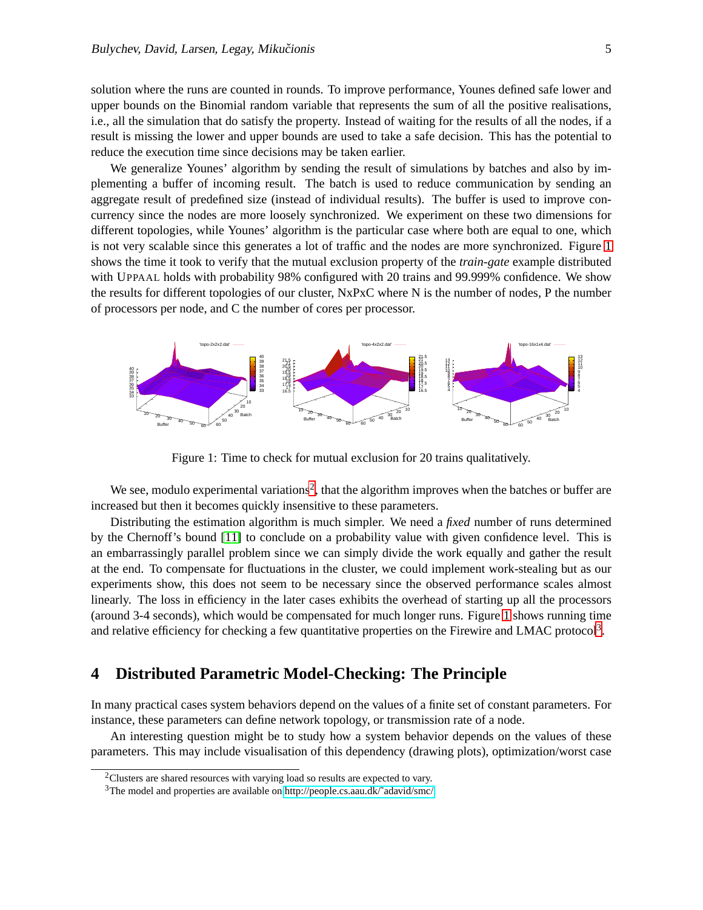solution where the runs are counted in rounds. To improve performance, Younes defined safe lower and upper bounds on the Binomial random variable that represents the sum of all the positive realisations, i.e., all the simulation that do satisfy the property. Instead of waiting for the results of all the nodes, if a result is missing the lower and upper bounds are used to take a safe decision. This has the potential to reduce the execution time since decisions may be taken earlier.

We generalize Younes' algorithm by sending the result of simulations by batches and also by implementing a buffer of incoming result. The batch is used to reduce communication by sending an aggregate result of predefined size (instead of individual results). The buffer is used to improve concurrency since the nodes are more loosely synchronized. We experiment on these two dimensions for different topologies, while Younes' algorithm is the particular case where both are equal to one, which is not very scalable since this generates a lot of traffic and the nodes are more synchronized. Figure [1](#page-4-0) shows the time it took to verify that the mutual exclusion property of the *train-gate* example distributed with UPPAAL holds with probability 98% configured with 20 trains and 99.999% confidence. We show the results for different topologies of our cluster, NxPxC where N is the number of nodes, P the number of processors per node, and C the number of cores per processor.

<span id="page-4-0"></span>

Figure 1: Time to check for mutual exclusion for 20 trains qualitatively.

We see, modulo experimental variations<sup>2</sup>, that the algorithm improves when the batches or buffer are increased but then it becomes quickly insensitive to these parameters.

Distributing the estimation algorithm is much simpler. We need a *fixed* number of runs determined by the Chernoff's bound [\[11\]](#page-11-2) to conclude on a probability value with given confidence level. This is an embarrassingly parallel problem since we can simply divide the work equally and gather the result at the end. To compensate for fluctuations in the cluster, we could implement work-stealing but as our experiments show, this does not seem to be necessary since the observed performance scales almost linearly. The loss in efficiency in the later cases exhibits the overhead of starting up all the processors (around 3-4 seconds), which would be compensated for much longer runs. Figure [1](#page-5-0) shows running time and relative efficiency for checking a few quantitative properties on the Firewire and LMAC protocol<sup>3</sup>.

### **4 Distributed Parametric Model-Checking: The Principle**

In many practical cases system behaviors depend on the values of a finite set of constant parameters. For instance, these parameters can define network topology, or transmission rate of a node.

An interesting question might be to study how a system behavior depends on the values of these parameters. This may include visualisation of this dependency (drawing plots), optimization/worst case

 $2$ Clusters are shared resources with varying load so results are expected to vary.

<sup>&</sup>lt;sup>3</sup>The model and properties are available on http://people.cs.aau.dk/~adavid/smc/.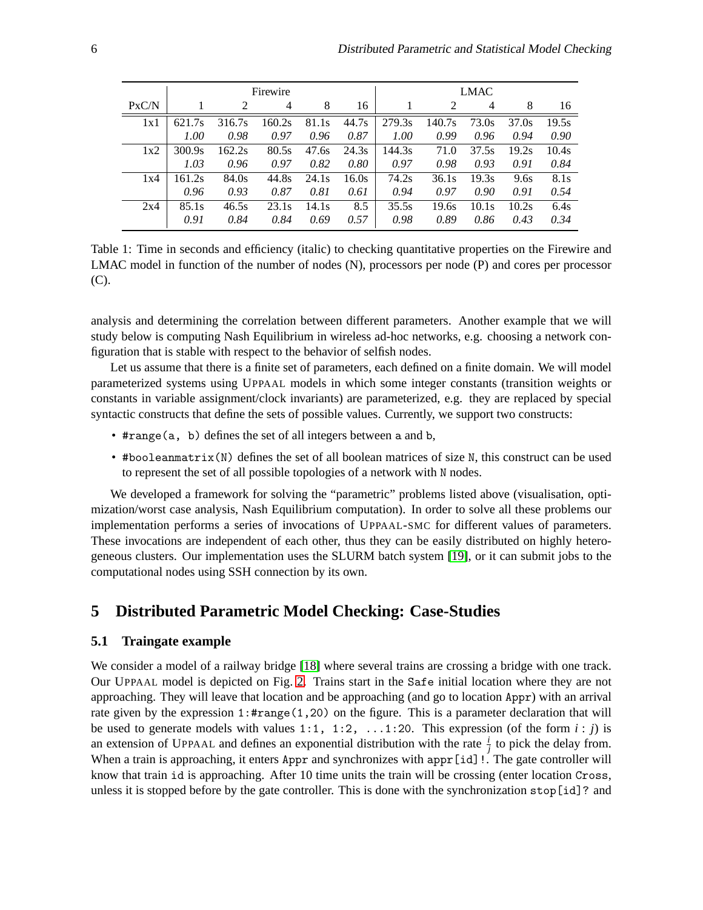<span id="page-5-0"></span>

|       | Firewire |        |        |       |       | LMAC   |        |                |       |       |
|-------|----------|--------|--------|-------|-------|--------|--------|----------------|-------|-------|
| PxC/N |          | 2      | 4      | 8     | 16    |        | 2      | $\overline{4}$ | 8     | 16    |
| 1x1   | 621.7s   | 316.7s | 160.2s | 81.1s | 44.7s | 279.3s | 140.7s | 73.0s          | 37.0s | 19.5s |
|       | 1.00     | 0.98   | 0.97   | 0.96  | 0.87  | 1.00   | 0.99   | 0.96           | 0.94  | 0.90  |
| 1x2   | 300.9s   | 162.2s | 80.5s  | 47.6s | 24.3s | 144.3s | 71.0   | 37.5s          | 19.2s | 10.4s |
|       | 1.03     | 0.96   | 0.97   | 0.82  | 0.80  | 0.97   | 0.98   | 0.93           | 0.91  | 0.84  |
| 1x4   | 161.2s   | 84.0s  | 44.8s  | 24.1s | 16.0s | 74.2s  | 36.1s  | 19.3s          | 9.6s  | 8.1s  |
|       | 0.96     | 0.93   | 0.87   | 0.81  | 0.61  | 0.94   | 0.97   | 0.90           | 0.91  | 0.54  |
| 2x4   | 85.1s    | 46.5s  | 23.1s  | 14.1s | 8.5   | 35.5s  | 19.6s  | 10.1s          | 10.2s | 6.4s  |
|       | 0.91     | 0.84   | 0.84   | 0.69  | 0.57  | 0.98   | 0.89   | 0.86           | 0.43  | 0.34  |

Table 1: Time in seconds and efficiency (italic) to checking quantitative properties on the Firewire and LMAC model in function of the number of nodes (N), processors per node (P) and cores per processor (C).

analysis and determining the correlation between different parameters. Another example that we will study below is computing Nash Equilibrium in wireless ad-hoc networks, e.g. choosing a network configuration that is stable with respect to the behavior of selfish nodes.

Let us assume that there is a finite set of parameters, each defined on a finite domain. We will model parameterized systems using UPPAAL models in which some integer constants (transition weights or constants in variable assignment/clock invariants) are parameterized, e.g. they are replaced by special syntactic constructs that define the sets of possible values. Currently, we support two constructs:

- #range(a, b) defines the set of all integers between a and b,
- #booleanmatrix(N) defines the set of all boolean matrices of size N, this construct can be used to represent the set of all possible topologies of a network with N nodes.

We developed a framework for solving the "parametric" problems listed above (visualisation, optimization/worst case analysis, Nash Equilibrium computation). In order to solve all these problems our implementation performs a series of invocations of UPPAAL-SMC for different values of parameters. These invocations are independent of each other, thus they can be easily distributed on highly heterogeneous clusters. Our implementation uses the SLURM batch system [\[19\]](#page-11-13), or it can submit jobs to the computational nodes using SSH connection by its own.

# **5 Distributed Parametric Model Checking: Case-Studies**

### **5.1 Traingate example**

We consider a model of a railway bridge [\[18\]](#page-11-14) where several trains are crossing a bridge with one track. Our UPPAAL model is depicted on Fig. [2.](#page-6-0) Trains start in the Safe initial location where they are not approaching. They will leave that location and be approaching (and go to location Appr) with an arrival rate given by the expression 1:#range(1,20) on the figure. This is a parameter declaration that will be used to generate models with values  $1:1$ ,  $1:2$ ,  $\dots$ 1:20. This expression (of the form  $i:j$ ) is an extension of UPPAAL and defines an exponential distribution with the rate  $\frac{i}{j}$  to pick the delay from. When a train is approaching, it enters Appr and synchronizes with appr [id]!. The gate controller will know that train id is approaching. After 10 time units the train will be crossing (enter location Cross, unless it is stopped before by the gate controller. This is done with the synchronization stop[id]? and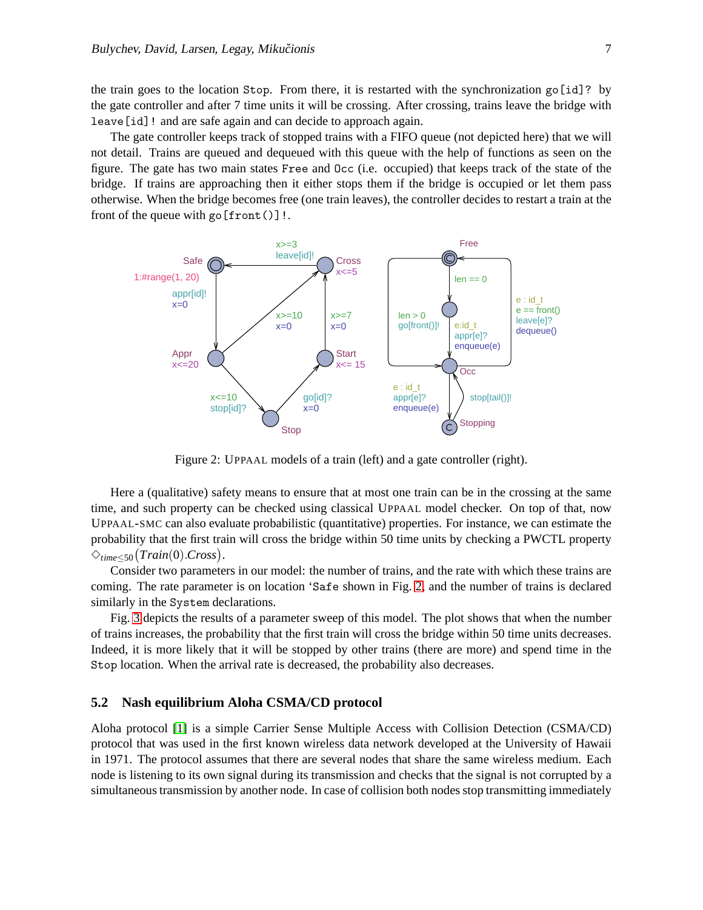the train goes to the location Stop. From there, it is restarted with the synchronization go[id]? by the gate controller and after 7 time units it will be crossing. After crossing, trains leave the bridge with leave[id]! and are safe again and can decide to approach again.

The gate controller keeps track of stopped trains with a FIFO queue (not depicted here) that we will not detail. Trains are queued and dequeued with this queue with the help of functions as seen on the figure. The gate has two main states Free and Occ (i.e. occupied) that keeps track of the state of the bridge. If trains are approaching then it either stops them if the bridge is occupied or let them pass otherwise. When the bridge becomes free (one train leaves), the controller decides to restart a train at the front of the queue with  $\text{go}[\text{front}()]$ !.

<span id="page-6-0"></span>

Figure 2: UPPAAL models of a train (left) and a gate controller (right).

Here a (qualitative) safety means to ensure that at most one train can be in the crossing at the same time, and such property can be checked using classical UPPAAL model checker. On top of that, now UPPAAL-SMC can also evaluate probabilistic (quantitative) properties. For instance, we can estimate the probability that the first train will cross the bridge within 50 time units by checking a PWCTL property ✸*time*≤50 *Train*(0).*Cross* .

Consider two parameters in our model: the number of trains, and the rate with which these trains are coming. The rate parameter is on location 'Safe shown in Fig. [2,](#page-6-0) and the number of trains is declared similarly in the System declarations.

Fig. [3](#page-7-0) depicts the results of a parameter sweep of this model. The plot shows that when the number of trains increases, the probability that the first train will cross the bridge within 50 time units decreases. Indeed, it is more likely that it will be stopped by other trains (there are more) and spend time in the Stop location. When the arrival rate is decreased, the probability also decreases.

### <span id="page-6-1"></span>**5.2 Nash equilibrium Aloha CSMA/CD protocol**

Aloha protocol [\[1\]](#page-10-2) is a simple Carrier Sense Multiple Access with Collision Detection (CSMA/CD) protocol that was used in the first known wireless data network developed at the University of Hawaii in 1971. The protocol assumes that there are several nodes that share the same wireless medium. Each node is listening to its own signal during its transmission and checks that the signal is not corrupted by a simultaneous transmission by another node. In case of collision both nodes stop transmitting immediately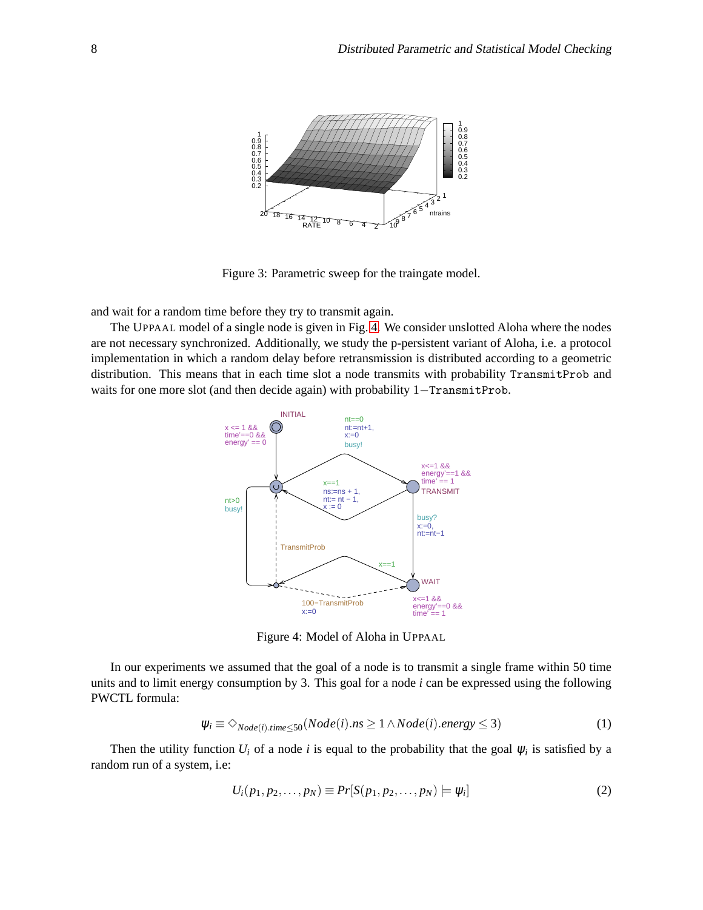<span id="page-7-0"></span>

Figure 3: Parametric sweep for the traingate model.

and wait for a random time before they try to transmit again.

<span id="page-7-1"></span>The UPPAAL model of a single node is given in Fig. [4.](#page-7-1) We consider unslotted Aloha where the nodes are not necessary synchronized. Additionally, we study the p-persistent variant of Aloha, i.e. a protocol implementation in which a random delay before retransmission is distributed according to a geometric distribution. This means that in each time slot a node transmits with probability TransmitProb and waits for one more slot (and then decide again) with probability 1–TransmitProb.



Figure 4: Model of Aloha in UPPAAL

In our experiments we assumed that the goal of a node is to transmit a single frame within 50 time units and to limit energy consumption by 3. This goal for a node *i* can be expressed using the following PWCTL formula:

$$
\psi_i \equiv \diamondsuit_{Node(i).time \le 50}(Node(i).ns \ge 1 \land Node(i).energy \le 3)
$$
\n(1)

Then the utility function  $U_i$  of a node *i* is equal to the probability that the goal  $\psi_i$  is satisfied by a random run of a system, i.e:

$$
U_i(p_1, p_2, \dots, p_N) \equiv Pr[S(p_1, p_2, \dots, p_N) \models \psi_i]
$$
 (2)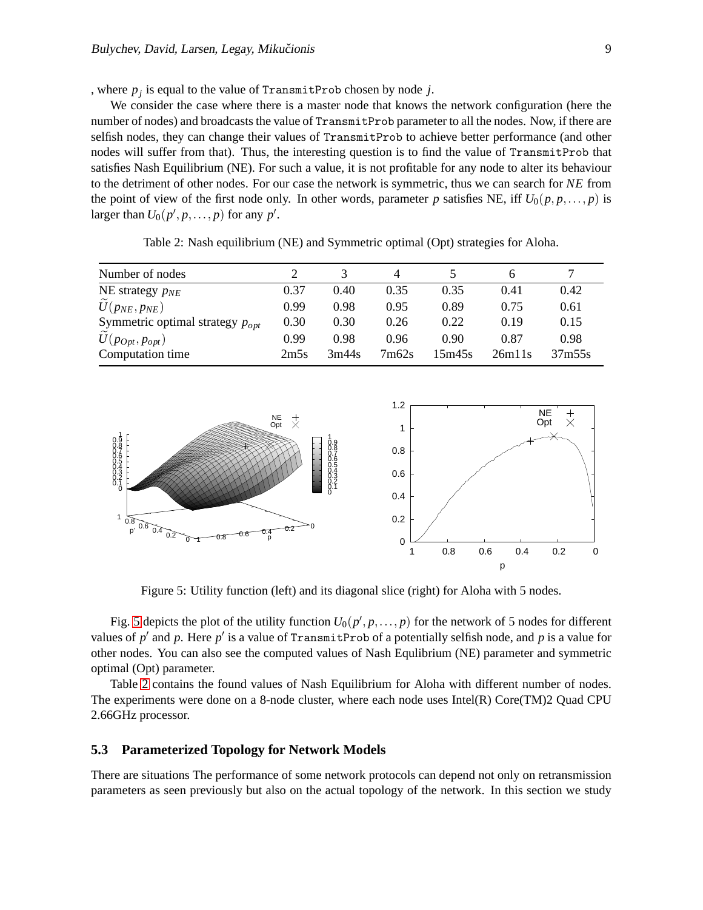, where *p<sup>j</sup>* is equal to the value of TransmitProb chosen by node *j*.

We consider the case where there is a master node that knows the network configuration (here the number of nodes) and broadcasts the value of TransmitProb parameter to all the nodes. Now, if there are selfish nodes, they can change their values of TransmitProb to achieve better performance (and other nodes will suffer from that). Thus, the interesting question is to find the value of TransmitProb that satisfies Nash Equilibrium (NE). For such a value, it is not profitable for any node to alter its behaviour to the detriment of other nodes. For our case the network is symmetric, thus we can search for *NE* from the point of view of the first node only. In other words, parameter *p* satisfies NE, iff  $U_0(p, p, \ldots, p)$  is larger than  $U_0(p', p, \ldots, p)$  for any  $p'$ .

<span id="page-8-1"></span>

|      |       | 4     |        |        |        |
|------|-------|-------|--------|--------|--------|
| 0.37 | 0.40  | 0.35  | 0.35   | 0.41   | 0.42   |
| 0.99 | 0.98  | 0.95  | 0.89   | 0.75   | 0.61   |
| 0.30 | 0.30  | 0.26  | 0.22   | 0.19   | 0.15   |
| 0.99 | 0.98  | 0.96  | 0.90   | 0.87   | 0.98   |
| 2m5s | 3m44s | 7m62s | 15m45s | 26m11s | 37m55s |
|      |       |       |        |        |        |

Table 2: Nash equilibrium (NE) and Symmetric optimal (Opt) strategies for Aloha.

<span id="page-8-0"></span>

Figure 5: Utility function (left) and its diagonal slice (right) for Aloha with 5 nodes.

Fig. [5](#page-8-0) depicts the plot of the utility function  $U_0(p', p, \ldots, p)$  for the network of 5 nodes for different values of *p* ′ and *p*. Here *p* ′ is a value of TransmitProb of a potentially selfish node, and *p* is a value for other nodes. You can also see the computed values of Nash Equlibrium (NE) parameter and symmetric optimal (Opt) parameter.

Table [2](#page-8-1) contains the found values of Nash Equilibrium for Aloha with different number of nodes. The experiments were done on a 8-node cluster, where each node uses Intel(R) Core(TM)2 Quad CPU 2.66GHz processor.

#### **5.3 Parameterized Topology for Network Models**

There are situations The performance of some network protocols can depend not only on retransmission parameters as seen previously but also on the actual topology of the network. In this section we study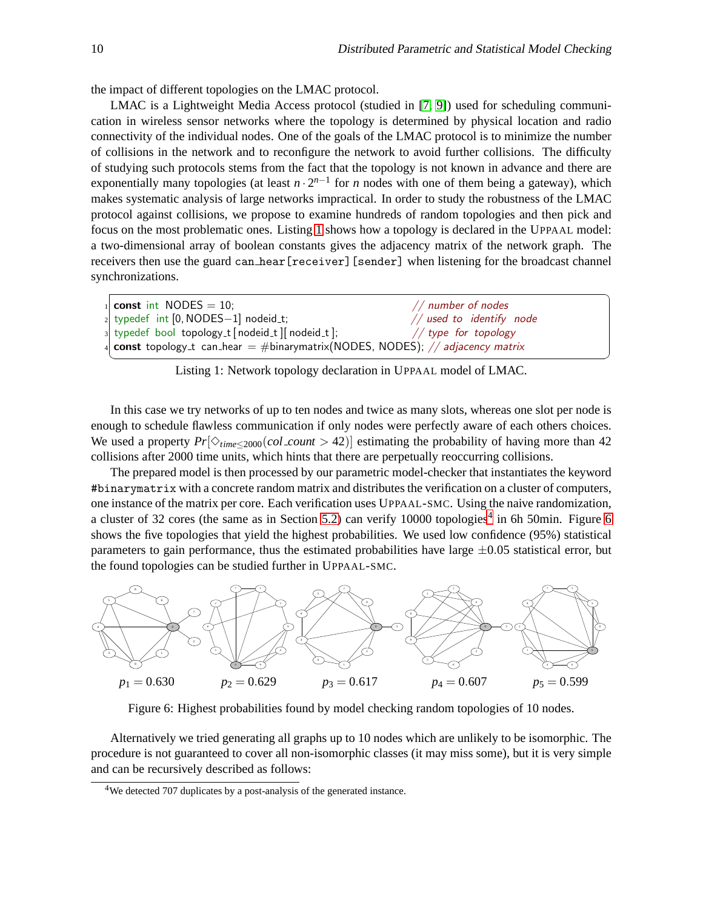☎

the impact of different topologies on the LMAC protocol.

LMAC is a Lightweight Media Access protocol (studied in [\[7,](#page-11-10) [9\]](#page-11-15)) used for scheduling communication in wireless sensor networks where the topology is determined by physical location and radio connectivity of the individual nodes. One of the goals of the LMAC protocol is to minimize the number of collisions in the network and to reconfigure the network to avoid further collisions. The difficulty of studying such protocols stems from the fact that the topology is not known in advance and there are exponentially many topologies (at least  $n \cdot 2^{n-1}$  for *n* nodes with one of them being a gateway), which makes systematic analysis of large networks impractical. In order to study the robustness of the LMAC protocol against collisions, we propose to examine hundreds of random topologies and then pick and focus on the most problematic ones. Listing [1](#page-9-0) shows how a topology is declared in the UPPAAL model: a two-dimensional array of boolean constants gives the adjacency matrix of the network graph. The receivers then use the guard can hear[receiver][sender] when listening for the broadcast channel synchronizations.

<span id="page-9-0"></span>

| $_1$ const int NODES = 10;<br>$//$ number of nodes                                    |  |  |  |  |  |  |
|---------------------------------------------------------------------------------------|--|--|--|--|--|--|
| $_2$ typedef int [0, NODES-1] nodeid_t;<br>$//$ used to identify node                 |  |  |  |  |  |  |
| 3 s   typedef bool topology_t [nodeid_t ] [nodeid_t ];<br>// type for topology        |  |  |  |  |  |  |
| 4 <b>const</b> topology_t can_hear = #binarymatrix(NODES, NODES); // adjacency matrix |  |  |  |  |  |  |
|                                                                                       |  |  |  |  |  |  |

Listing 1: Network topology declaration in UPPAAL model of LMAC.

In this case we try networks of up to ten nodes and twice as many slots, whereas one slot per node is enough to schedule flawless communication if only nodes were perfectly aware of each others choices. We used a property  $Pr[\Diamond_{time < 2000}(col_count > 42)]$  estimating the probability of having more than 42 collisions after 2000 time units, which hints that there are perpetually reoccurring collisions.

The prepared model is then processed by our parametric model-checker that instantiates the keyword #binarymatrix with a concrete random matrix and distributes the verification on a cluster of computers, one instance of the matrix per core. Each verification uses UPPAAL-SMC. Using the naive randomization, a cluster of 32 cores (the same as in Section [5.2\)](#page-6-1) can verify 10000 topologies<sup>4</sup> in [6](#page-9-1)h 50min. Figure 6 shows the five topologies that yield the highest probabilities. We used low confidence (95%) statistical parameters to gain performance, thus the estimated probabilities have large  $\pm 0.05$  statistical error, but the found topologies can be studied further in UPPAAL-SMC.

<span id="page-9-1"></span>

Figure 6: Highest probabilities found by model checking random topologies of 10 nodes.

Alternatively we tried generating all graphs up to 10 nodes which are unlikely to be isomorphic. The procedure is not guaranteed to cover all non-isomorphic classes (it may miss some), but it is very simple and can be recursively described as follows:

<sup>&</sup>lt;sup>4</sup>We detected 707 duplicates by a post-analysis of the generated instance.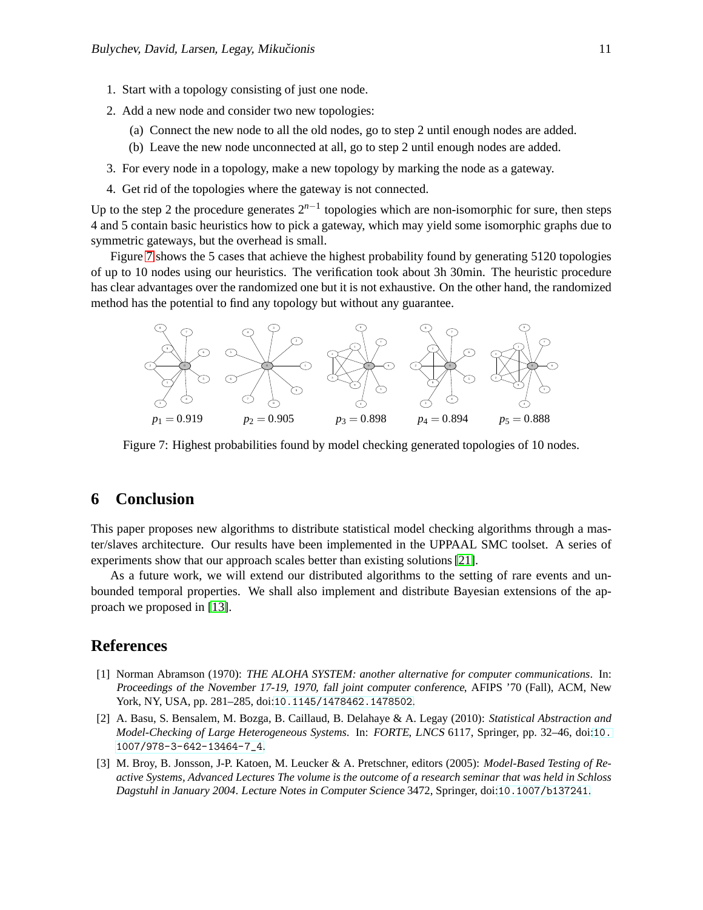- 1. Start with a topology consisting of just one node.
- 2. Add a new node and consider two new topologies:
	- (a) Connect the new node to all the old nodes, go to step 2 until enough nodes are added.
	- (b) Leave the new node unconnected at all, go to step 2 until enough nodes are added.
- 3. For every node in a topology, make a new topology by marking the node as a gateway.
- 4. Get rid of the topologies where the gateway is not connected.

Up to the step 2 the procedure generates 2*n*−<sup>1</sup> topologies which are non-isomorphic for sure, then steps 4 and 5 contain basic heuristics how to pick a gateway, which may yield some isomorphic graphs due to symmetric gateways, but the overhead is small.

Figure [7](#page-10-3) shows the 5 cases that achieve the highest probability found by generating 5120 topologies of up to 10 nodes using our heuristics. The verification took about 3h 30min. The heuristic procedure has clear advantages over the randomized one but it is not exhaustive. On the other hand, the randomized method has the potential to find any topology but without any guarantee.

<span id="page-10-3"></span>

Figure 7: Highest probabilities found by model checking generated topologies of 10 nodes.

# **6 Conclusion**

This paper proposes new algorithms to distribute statistical model checking algorithms through a master/slaves architecture. Our results have been implemented in the UPPAAL SMC toolset. A series of experiments show that our approach scales better than existing solutions [\[21\]](#page-12-2).

As a future work, we will extend our distributed algorithms to the setting of rare events and unbounded temporal properties. We shall also implement and distribute Bayesian extensions of the approach we proposed in [\[13\]](#page-11-8).

### <span id="page-10-2"></span>**References**

- [1] Norman Abramson (1970): *THE ALOHA SYSTEM: another alternative for computer communications*. In: Proceedings of the November 17-19, 1970, fall joint computer conference, AFIPS '70 (Fall), ACM, New York, NY, USA, pp. 281–285, doi:[10.1145/1478462.1478502](http://dx.doi.org/10.1145/1478462.1478502).
- <span id="page-10-1"></span>[2] A. Basu, S. Bensalem, M. Bozga, B. Caillaud, B. Delahaye & A. Legay (2010): *Statistical Abstraction and Model-Checking of Large Heterogeneous Systems*. In: FORTE, LNCS 6117, Springer, pp. 32–46, doi:[10.](http://dx.doi.org/10.1007/978-3-642-13464-7_4) [1007/978-3-642-13464-7\\_4](http://dx.doi.org/10.1007/978-3-642-13464-7_4).
- <span id="page-10-0"></span>[3] M. Broy, B. Jonsson, J-P. Katoen, M. Leucker & A. Pretschner, editors (2005): *Model-Based Testing of Reactive Systems, Advanced Lectures The volume is the outcome of a research seminar that was held in Schloss Dagstuhl in January 2004*. Lecture Notes in Computer Science 3472, Springer, doi:[10.1007/b137241](http://dx.doi.org/10.1007/b137241).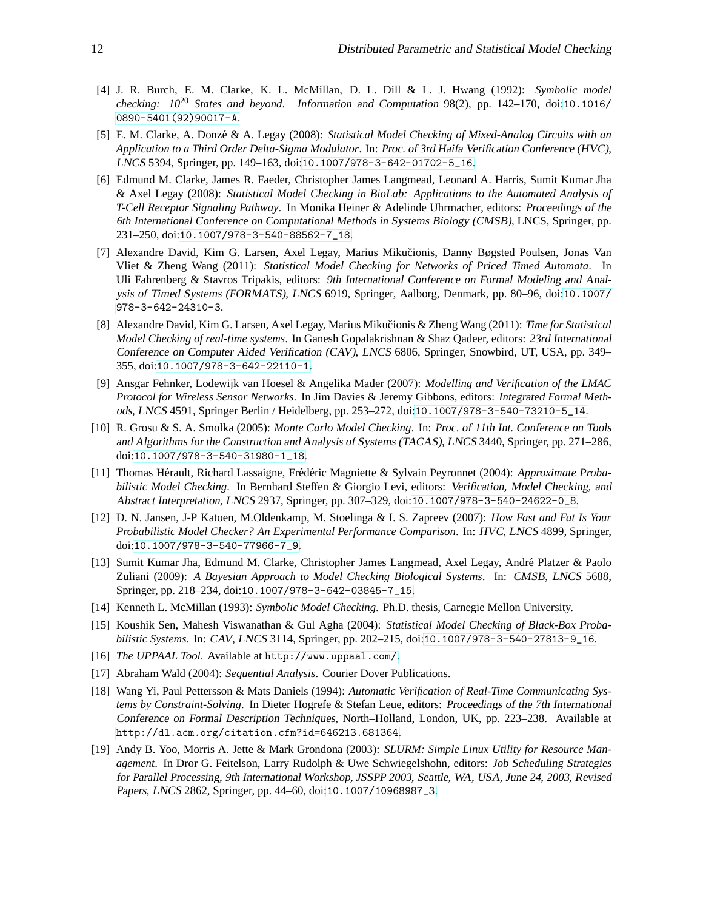- <span id="page-11-1"></span>[4] J. R. Burch, E. M. Clarke, K. L. McMillan, D. L. Dill & L. J. Hwang (1992): *Symbolic model checking: 10*<sup>20</sup> *States and beyond*. Information and Computation 98(2), pp. 142–170, doi:[10.1016/](http://dx.doi.org/10.1016/0890-5401(92)90017-A) [0890-5401\(92\)90017-A](http://dx.doi.org/10.1016/0890-5401(92)90017-A).
- <span id="page-11-9"></span>[5] E. M. Clarke, A. Donzé & A. Legay (2008): *Statistical Model Checking of Mixed-Analog Circuits with an Application to a Third Order Delta-Sigma Modulator*. In: Proc. of 3rd Haifa Verification Conference (HVC), LNCS 5394, Springer, pp. 149–163, doi:[10.1007/978-3-642-01702-5\\_16](http://dx.doi.org/10.1007/978-3-642-01702-5_16).
- <span id="page-11-7"></span>[6] Edmund M. Clarke, James R. Faeder, Christopher James Langmead, Leonard A. Harris, Sumit Kumar Jha & Axel Legay (2008): *Statistical Model Checking in BioLab: Applications to the Automated Analysis of T-Cell Receptor Signaling Pathway*. In Monika Heiner & Adelinde Uhrmacher, editors: Proceedings of the 6th International Conference on Computational Methods in Systems Biology (CMSB), LNCS, Springer, pp. 231–250, doi:[10.1007/978-3-540-88562-7\\_18](http://dx.doi.org/10.1007/978-3-540-88562-7_18).
- <span id="page-11-10"></span>[7] Alexandre David, Kim G. Larsen, Axel Legay, Marius Mikučionis, Danny Bøgsted Poulsen, Jonas Van Vliet & Zheng Wang (2011): *Statistical Model Checking for Networks of Priced Timed Automata*. In Uli Fahrenberg & Stavros Tripakis, editors: 9th International Conference on Formal Modeling and Analysis of Timed Systems (FORMATS), LNCS 6919, Springer, Aalborg, Denmark, pp. 80–96, doi:[10.1007/](http://dx.doi.org/10.1007/978-3-642-24310-3) [978-3-642-24310-3](http://dx.doi.org/10.1007/978-3-642-24310-3).
- <span id="page-11-11"></span>[8] Alexandre David, Kim G. Larsen, Axel Legay, Marius Mikučionis & Zheng Wang (2011): *Time for Statistical Model Checking of real-time systems*. In Ganesh Gopalakrishnan & Shaz Qadeer, editors: 23rd International Conference on Computer Aided Verification (CAV), LNCS 6806, Springer, Snowbird, UT, USA, pp. 349– 355, doi:[10.1007/978-3-642-22110-1](http://dx.doi.org/10.1007/978-3-642-22110-1).
- <span id="page-11-15"></span>[9] Ansgar Fehnker, Lodewijk van Hoesel & Angelika Mader (2007): *Modelling and Verification of the LMAC Protocol for Wireless Sensor Networks*. In Jim Davies & Jeremy Gibbons, editors: Integrated Formal Methods, LNCS 4591, Springer Berlin / Heidelberg, pp. 253–272, doi:[10.1007/978-3-540-73210-5\\_14](http://dx.doi.org/10.1007/978-3-540-73210-5_14).
- <span id="page-11-4"></span>[10] R. Grosu & S. A. Smolka (2005): *Monte Carlo Model Checking*. In: Proc. of 11th Int. Conference on Tools and Algorithms for the Construction and Analysis of Systems (TACAS), LNCS 3440, Springer, pp. 271–286, doi:[10.1007/978-3-540-31980-1\\_18](http://dx.doi.org/10.1007/978-3-540-31980-1_18).
- <span id="page-11-2"></span>[11] Thomas Hérault, Richard Lassaigne, Frédéric Magniette & Sylvain Peyronnet (2004): *Approximate Probabilistic Model Checking*. In Bernhard Steffen & Giorgio Levi, editors: Verification, Model Checking, and Abstract Interpretation, LNCS 2937, Springer, pp. 307–329, doi:[10.1007/978-3-540-24622-0\\_8](http://dx.doi.org/10.1007/978-3-540-24622-0_8).
- <span id="page-11-5"></span>[12] D. N. Jansen, J-P Katoen, M.Oldenkamp, M. Stoelinga & I. S. Zapreev (2007): *How Fast and Fat Is Your Probabilistic Model Checker? An Experimental Performance Comparison*. In: HVC, LNCS 4899, Springer, doi:[10.1007/978-3-540-77966-7\\_9](http://dx.doi.org/10.1007/978-3-540-77966-7_9).
- <span id="page-11-8"></span>[13] Sumit Kumar Jha, Edmund M. Clarke, Christopher James Langmead, Axel Legay, Andre Platzer & Paolo ´ Zuliani (2009): *A Bayesian Approach to Model Checking Biological Systems*. In: CMSB, LNCS 5688, Springer, pp. 218–234, doi:[10.1007/978-3-642-03845-7\\_15](http://dx.doi.org/10.1007/978-3-642-03845-7_15).
- <span id="page-11-3"></span><span id="page-11-0"></span>[14] Kenneth L. McMillan (1993): *Symbolic Model Checking*. Ph.D. thesis, Carnegie Mellon University.
- [15] Koushik Sen, Mahesh Viswanathan & Gul Agha (2004): *Statistical Model Checking of Black-Box Probabilistic Systems*. In: CAV, LNCS 3114, Springer, pp. 202–215, doi:[10.1007/978-3-540-27813-9\\_16](http://dx.doi.org/10.1007/978-3-540-27813-9_16).
- <span id="page-11-12"></span><span id="page-11-6"></span>[16] *The UPPAAL Tool*. Available at <http://www.uppaal.com/>.
- <span id="page-11-14"></span>[17] Abraham Wald (2004): *Sequential Analysis*. Courier Dover Publications.
- [18] Wang Yi, Paul Pettersson & Mats Daniels (1994): *Automatic Verification of Real-Time Communicating Systems by Constraint-Solving*. In Dieter Hogrefe & Stefan Leue, editors: Proceedings of the 7th International Conference on Formal Description Techniques, North–Holland, London, UK, pp. 223–238. Available at <http://dl.acm.org/citation.cfm?id=646213.681364>.
- <span id="page-11-13"></span>[19] Andy B. Yoo, Morris A. Jette & Mark Grondona (2003): *SLURM: Simple Linux Utility for Resource Management*. In Dror G. Feitelson, Larry Rudolph & Uwe Schwiegelshohn, editors: Job Scheduling Strategies for Parallel Processing, 9th International Workshop, JSSPP 2003, Seattle, WA, USA, June 24, 2003, Revised Papers, LNCS 2862, Springer, pp. 44–60, doi:[10.1007/10968987\\_3](http://dx.doi.org/10.1007/10968987_3).